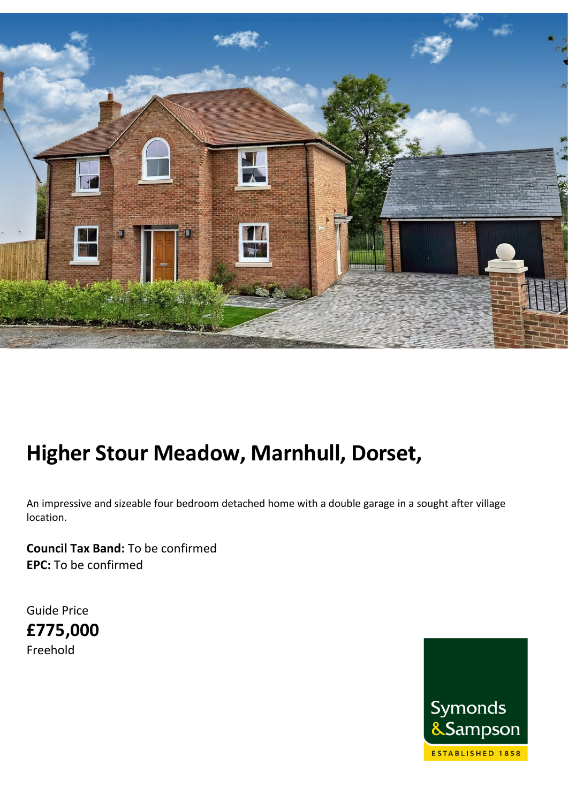

# **Higher Stour Meadow, Marnhull, Dorset,**

An impressive and sizeable four bedroom detached home with a double garage in a sought after village location.

**Council Tax Band:** To be confirmed **EPC:** To be confirmed

Guide Price **£775,000** Freehold

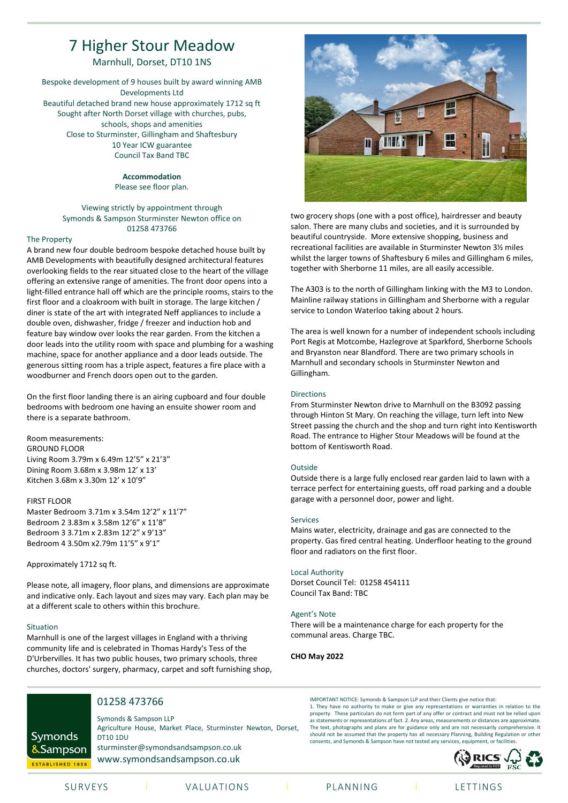# 7 Higher Stour Meadow

Marnhull, Dorset, DT10 1NS

Bespoke development of 9 houses built by award winning AMB Developments Ltd Beautiful detached brand new house approximately 1712 sq ft Sought after North Dorset village with churches, pubs, schools, shops and amenities Close to Sturminster, Gillingham and Shaftesbury 10 Year ICW guarantee Council Tax Band TBC

#### **Accommodation**

Please see floor plan.

#### Viewing strictly by appointment through Symonds & Sampson Sturminster Newton office on 01258 473766

#### The Property

A brand new four double bedroom bespoke detached house built by AMB Developments with beautifully designed architectural features overlooking fields to the rear situated close to the heart of the village offering an extensive range of amenities. The front door opens into a light-filled entrance hall off which are the principle rooms, stairs to the first floor and a cloakroom with built in storage. The large kitchen / diner is state of the art with integrated Neff appliances to include a double oven, dishwasher, fridge / freezer and induction hob and feature bay window over looks the rear garden. From the kitchen a door leads into the utility room with space and plumbing for a washing machine, space for another appliance and a door leads outside. The generous sitting room has a triple aspect, features a fire place with a woodburner and French doors open out to the garden.

On the first floor landing there is an airing cupboard and four double bedrooms with bedroom one having an ensuite shower room and there is a separate bathroom.

Room measurements: GROUND FLOOR Living Room 3.79m x 6.49m 12'5" x 21'3" Dining Room 3.68m x 3.98m 12' x 13' Kitchen 3.68m x 3.30m 12' x 10'9"

#### FIRST FLOOR

Master Bedroom 3.71m x 3.54m 12'2" x 11'7" Bedroom 2 3.83m x 3.58m 12'6" x 11'8" Bedroom 3 3.71m x 2.83m 12'2" x 9'13" Bedroom 4 3.50m x2.79m 11'5" x 9'1"

Approximately 1712 sq ft.

Please note, all imagery, floor plans, and dimensions are approximate and indicative only. Each layout and sizes may vary. Each plan may be at a different scale to others within this brochure.

#### Situation

Marnhull is one of the largest villages in England with a thriving community life and is celebrated in Thomas Hardy's Tess of the D'Urbervilles. It has two public houses, two primary schools, three churches, doctors' surgery, pharmacy, carpet and soft furnishing shop,



two grocery shops (one with a post office), hairdresser and beauty salon. There are many clubs and societies, and it is surrounded by beautiful countryside. More extensive shopping, business and recreational facilities are available in Sturminster Newton 3½ miles whilst the larger towns of Shaftesbury 6 miles and Gillingham 6 miles, together with Sherborne 11 miles, are all easily accessible.

The A303 is to the north of Gillingham linking with the M3 to London. Mainline railway stations in Gillingham and Sherborne with a regular service to London Waterloo taking about 2 hours.

The area is well known for a number of independent schools including Port Regis at Motcombe, Hazlegrove at Sparkford, Sherborne Schools and Bryanston near Blandford. There are two primary schools in Marnhull and secondary schools in Sturminster Newton and Gillingham.

#### Directions

From Sturminster Newton drive to Marnhull on the B3092 passing through Hinton St Mary. On reaching the village, turn left into New Street passing the church and the shop and turn right into Kentisworth Road. The entrance to Higher Stour Meadows will be found at the bottom of Kentisworth Road.

#### Outside

Outside there is a large fully enclosed rear garden laid to lawn with a terrace perfect for entertaining guests, off road parking and a double garage with a personnel door, power and light.

#### Services

Mains water, electricity, drainage and gas are connected to the property. Gas fired central heating. Underfloor heating to the ground floor and radiators on the first floor.

#### Local Authority

Dorset Council Tel: 01258 454111 Council Tax Band: TBC

#### Agent's Note

There will be a maintenance charge for each property for the communal areas. Charge TBC.

#### **CHO May 2022**



## 01258 473766

Symonds & Sampson LLP Agriculture House, Market Place, Sturminster Newton, Dorset, DT10 1DU sturminster@symondsandsampson.co.uk www.symondsandsampson.co.uk

IMPORTANT NOTICE: Symonds & Sampson LLP and their Clients give notice that: 1. They have no authority to make or give any representations or warranties in relation to the property. These particulars do not form part of any offer or contract and must not be relied upon as statements or representations of fact. 2. Any areas, measurements or distances are approximate. The text, photographs and plans are for guidance only and are not necessarily comprehensive. It should not be assumed that the property has all necessary Planning, Building Regulation or other consents, and Symonds & Sampson have not tested any services, equipment, or  $f$ 



SURVEYS I VALUATIONS I PLANNING I LETTINGS